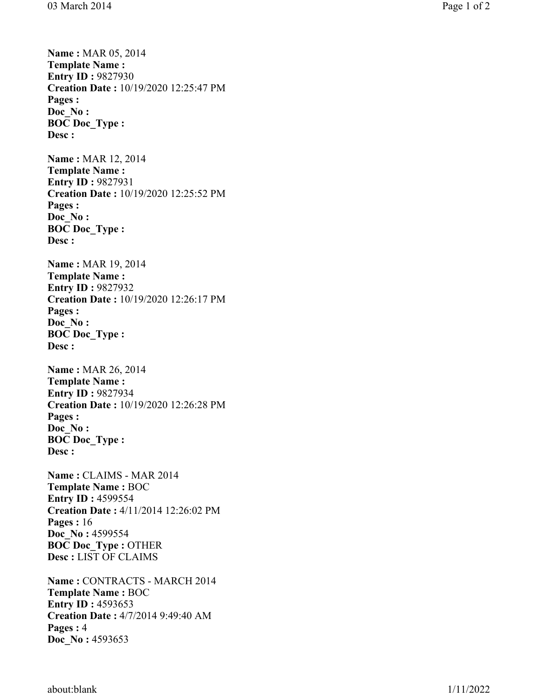**Name :** MAR 05, 2014 **Template Name :** 

**Entry ID : 9827930 Creation Date :** 10/19/2020 12:25:47 PM **Pages : Doc\_No : BOC Doc\_Type : Desc : Name :** MAR 12, 2014 **Template Name : Entry ID :** 9827931 **Creation Date :** 10/19/2020 12:25:52 PM **Pages : Doc\_No : BOC Doc\_Type : Desc : Name :** MAR 19, 2014 **Template Name : Entry ID :** 9827932 **Creation Date :** 10/19/2020 12:26:17 PM **Pages : Doc\_No : BOC Doc\_Type : Desc : Name :** MAR 26, 2014 **Template Name : Entry ID :** 9827934 **Creation Date :** 10/19/2020 12:26:28 PM **Pages : Doc\_No : BOC Doc\_Type : Desc : Name :** CLAIMS - MAR 2014 **Template Name :** BOC **Entry ID :** 4599554 **Creation Date :** 4/11/2014 12:26:02 PM **Pages :** 16 **Doc\_No :** 4599554 **BOC Doc\_Type :** OTHER **Desc :** LIST OF CLAIMS **Name :** CONTRACTS - MARCH 2014 **Template Name :** BOC **Entry ID :** 4593653 **Creation Date :** 4/7/2014 9:49:40 AM **Pages :**  4 **Doc\_No :** 4593653